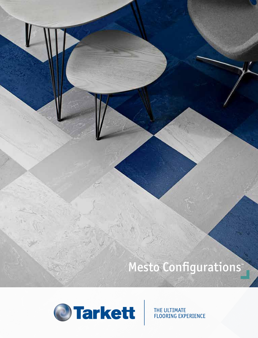## Mesto Configurations



THE ULTIMATE<br>FLOORING EXPERIENCE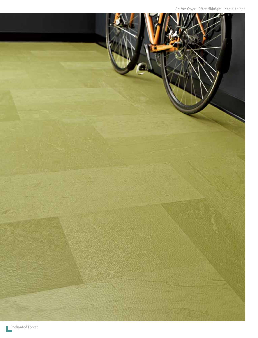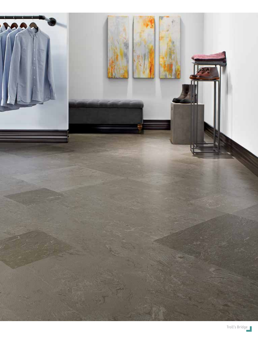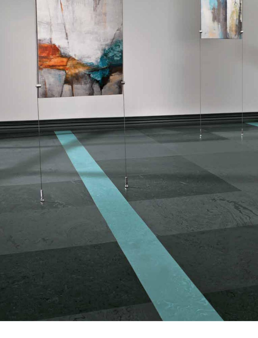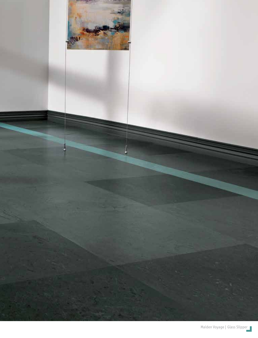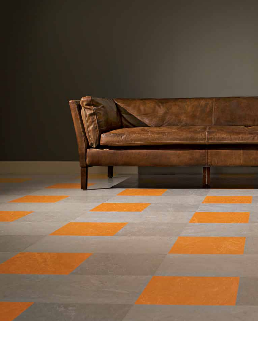![](_page_5_Picture_0.jpeg)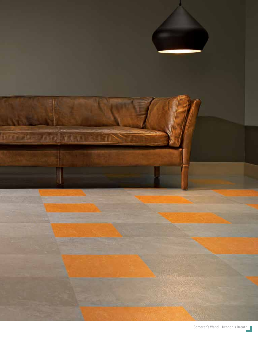![](_page_6_Picture_0.jpeg)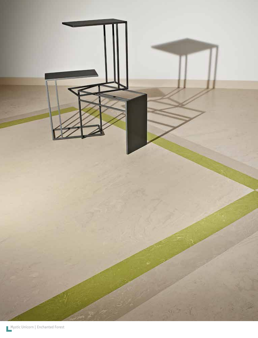![](_page_7_Picture_0.jpeg)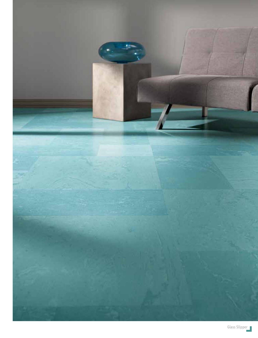![](_page_8_Picture_0.jpeg)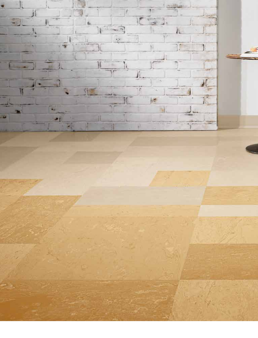![](_page_9_Picture_0.jpeg)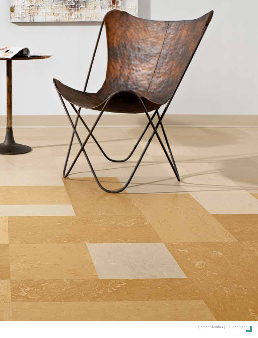![](_page_10_Picture_0.jpeg)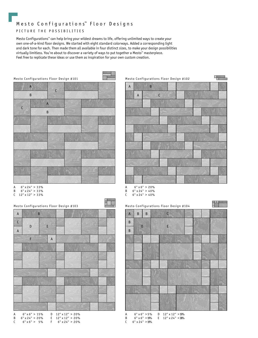## Mesto Configurations™ Floor Designs

## PICTURE THE POSSIBILITIES

Mesto Configurations™ can help bring your wildest dreams to life, offering unlimited ways to create your own one-of-a-kind floor designs. We started with eight standard colorways. Added a corresponding light and dark tone for each. Then made them all available in four distinct sizes, to make your design possibilities virtually limitless. You're about to discover a variety of ways to put together a Mesto™ masterpiece. Feel free to replicate these ideas or use them as inspiration for your own custom creation.

![](_page_11_Figure_3.jpeg)

A  $6" \times 24" > 33\%$ 

B  $6" \times 24" > 33\%$ <br>C  $12" \times 12" > 33\%$  $12" \times 12" > 33\%$ 

![](_page_11_Figure_6.jpeg)

![](_page_11_Figure_7.jpeg)

A  $6" \times 6" > 20\%$ 

B  $6'' \times 24'' > 40\%$ <br>C  $6'' \times 24'' > 40\%$ 

 $6" \times 24" > 40\%$ 

![](_page_11_Figure_11.jpeg)

A  $6'' \times 6'' > 5\%$ <br>B  $6'' \times 6'' > 19\%$ B  $6'' \times 6'' > 19\%$ <br>C  $6'' \times 24'' > 19\%$ E  $12" \times 24" > 38%$ 

 $6" \times 24" > 19\%$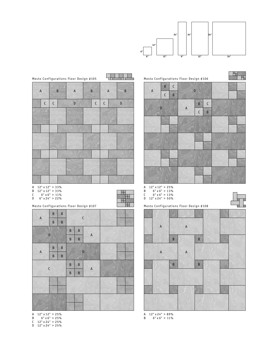$C \quad 12" x 24" > 25\%$  $D \quad 12" \times 24" > 25\%$ 

B  $6" \times 6" > 25\%$ 

A  $12" \times 12" > 25\%$ 

| A<br>B<br>C<br>D | $12^{\circ}$ x $12^{\circ}$ > 33%<br>$12" \times 12" > 33\%$<br>$6" \times 6" > 11\%$<br>$6"$ x 24" > 22% |       |   |          |                                        |  |
|------------------|-----------------------------------------------------------------------------------------------------------|-------|---|----------|----------------------------------------|--|
|                  |                                                                                                           |       |   |          | Mesto Configurations Floor Design #107 |  |
|                  | B                                                                                                         | B     |   |          |                                        |  |
| $\sf A$          | B                                                                                                         | B     |   |          | $\mathsf C$                            |  |
|                  |                                                                                                           |       | B | B        |                                        |  |
|                  | D                                                                                                         |       | B | B        | $\mathsf A$                            |  |
| $\sf A$          | $\mathsf B$                                                                                               | B     |   |          |                                        |  |
|                  | B                                                                                                         | B     |   |          | D                                      |  |
|                  | $\mathsf C$                                                                                               |       | B | B        |                                        |  |
|                  |                                                                                                           |       | B | $\sf{B}$ | $\sf A$                                |  |
|                  |                                                                                                           |       |   |          |                                        |  |
|                  |                                                                                                           |       |   |          |                                        |  |
|                  |                                                                                                           |       |   |          |                                        |  |
|                  |                                                                                                           |       |   |          |                                        |  |
|                  | $3.0$ $\mu$ $3.0$ $\mu$ $3.0$                                                                             | 0.501 |   |          |                                        |  |

- $D$  6"  $\times$  24" > 22%
- B 12" x 12" > 33%  $C \t 6" \times 6" > 11\%$
- A 12" x 12" > 33%

| Mesto Configurations Floor Design #105 |              |   |             |             |   |  |
|----------------------------------------|--------------|---|-------------|-------------|---|--|
| $\mathsf A$                            | B            | A | $\mathsf B$ | $\mathsf A$ | B |  |
| $\mathsf C$                            | $\mathsf{C}$ | D | $\mathsf C$ | $\mathsf C$ | D |  |
|                                        |              |   |             |             |   |  |
|                                        |              |   |             |             |   |  |
|                                        |              |   |             |             |   |  |
|                                        |              |   |             |             |   |  |
|                                        |              | a |             |             |   |  |
|                                        |              |   |             |             |   |  |

国国民

![](_page_12_Figure_10.jpeg)

A A A A B B B B

Mesto Configurations Floor Design #108

|   | A $12" \times 12" > 25\%$ |  |  |
|---|---------------------------|--|--|
| B | $6" \times 6" > 13\%$     |  |  |
| C | $6" \times 6" > 13\%$     |  |  |
| D | $12" \times 24" > 50\%$   |  |  |

|             |                |             | Mesto Configurations Floor Design #106 |                |                |  |  |
|-------------|----------------|-------------|----------------------------------------|----------------|----------------|--|--|
|             | $\overline{B}$ | $\mathsf C$ | D                                      |                |                |  |  |
| $\mathsf A$ | $\mathsf C$    | B           |                                        |                |                |  |  |
|             |                |             | $\sf A$                                | $\overline{B}$ | $\mathsf C$    |  |  |
|             | D              |             |                                        | $\mathsf C$    | $\overline{B}$ |  |  |
|             |                |             |                                        |                |                |  |  |
|             |                |             |                                        |                |                |  |  |
|             |                |             |                                        |                |                |  |  |
|             |                |             |                                        |                |                |  |  |
|             |                |             |                                        |                |                |  |  |
|             |                |             |                                        |                |                |  |  |
|             |                |             |                                        |                |                |  |  |
|             |                |             |                                        |                |                |  |  |

Mesto Configurations Floor Design #106

![](_page_12_Figure_16.jpeg)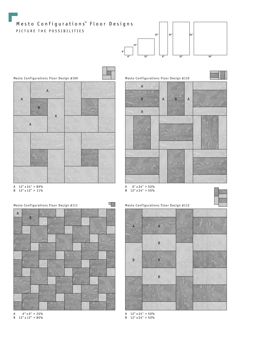## Mesto Configurations™ Floor Designs PICTURE THE POSSIBILITIES

![](_page_13_Figure_1.jpeg)

![](_page_13_Figure_2.jpeg)

![](_page_13_Figure_3.jpeg)

A  $12" \times 24" > 89\%$ 

B  $12" \times 12" > 11\%$ 

Mesto Configurations Floor Design #111 A B

A  $6" \times 6" > 20\%$ B  $12" \times 12" > 80\%$  A  $6" \times 24" > 50\%$ B  $12" \times 24" > 50\%$ 

 $\mathbb{R}^2$ 

Mesto Configurations Floor Design #112

![](_page_13_Picture_10.jpeg)

A  $12" \times 24" > 50\%$ B 12" x 24" > 50%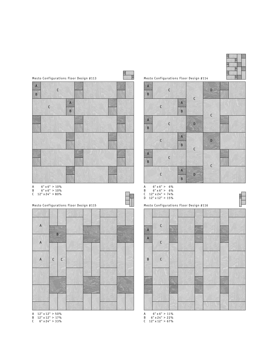![](_page_14_Figure_0.jpeg)

|                   | Mesto Configurations Floor Design #113 |                     |  |  |
|-------------------|----------------------------------------|---------------------|--|--|
| $\mathsf{A}$<br>B | $\mathsf C$                            |                     |  |  |
|                   | $\mathsf C$                            | $\overline{A}$<br>B |  |  |
|                   |                                        |                     |  |  |
|                   |                                        |                     |  |  |
|                   |                                        |                     |  |  |
|                   |                                        |                     |  |  |

A  $6" \times 6" > 10\%$ 

B  $6" \times 6" > 10\%$ 

 $C$  12" x 24" > 80%

Mesto Configurations Floor Design #115

![](_page_14_Figure_6.jpeg)

A  $12" \times 12" > 50\%$ 

B 12" x 12" > 17%

 $C = 6" \times 24" > 33\%$ 

Mesto Configurations Floor Design #114

![](_page_14_Figure_11.jpeg)

A  $6" \times 6" > 6\%$ <br>B  $6" \times 6" > 6\%$  $6" \times 6" > 6\%$ 

 $C = 12" x 24" > 74%$ 

 $D \quad 12" \times 12" > 15\%$ 

![](_page_14_Figure_18.jpeg)

B  $6" \times 24" > 22\%$ 

 $C \quad 12" \times 12" > 67\%$ 

Mesto Configurations Floor Design #116